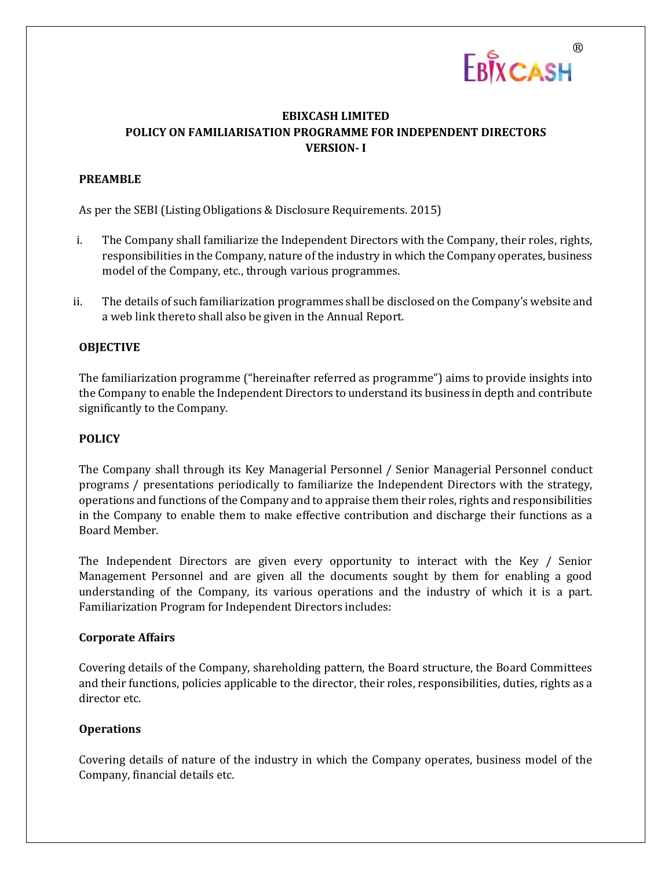

# **EBIXCASH LIMITED POLICY ON FAMILIARISATION PROGRAMME FOR INDEPENDENT DIRECTORS VERSION- I**

# **PREAMBLE**

As per the SEBI (Listing Obligations & Disclosure Requirements. 2015)

- i. The Company shall familiarize the Independent Directors with the Company, their roles, rights, responsibilities in the Company, nature of the industry in which the Company operates, business model of the Company, etc., through various programmes.
- ii. The details of such familiarization programmes shall be disclosed on the Company's website and a web link thereto shall also be given in the Annual Report.

# **OBJECTIVE**

The familiarization programme ("hereinafter referred as programme") aims to provide insights into the Company to enable the Independent Directors to understand its business in depth and contribute significantly to the Company.

#### **POLICY**

The Company shall through its Key Managerial Personnel / Senior Managerial Personnel conduct programs / presentations periodically to familiarize the Independent Directors with the strategy, operations and functions of the Company and to appraise them their roles, rights and responsibilities in the Company to enable them to make effective contribution and discharge their functions as a Board Member.

The Independent Directors are given every opportunity to interact with the Key / Senior Management Personnel and are given all the documents sought by them for enabling a good understanding of the Company, its various operations and the industry of which it is a part. Familiarization Program for Independent Directors includes:

#### **Corporate Affairs**

Covering details of the Company, shareholding pattern, the Board structure, the Board Committees and their functions, policies applicable to the director, their roles, responsibilities, duties, rights as a director etc.

# **Operations**

Covering details of nature of the industry in which the Company operates, business model of the Company, financial details etc.